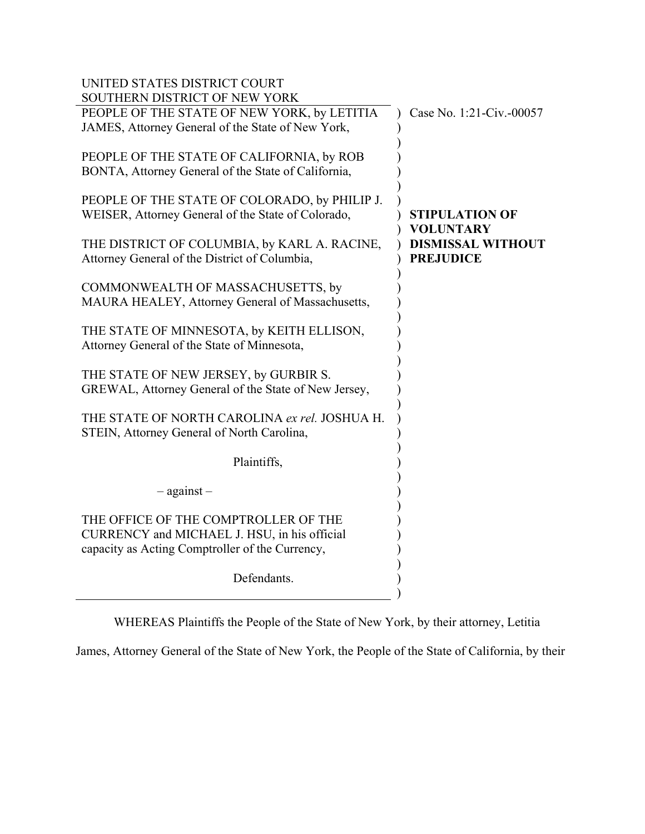| UNITED STATES DISTRICT COURT                                                                                                            |                                              |
|-----------------------------------------------------------------------------------------------------------------------------------------|----------------------------------------------|
| SOUTHERN DISTRICT OF NEW YORK<br>PEOPLE OF THE STATE OF NEW YORK, by LETITIA<br>JAMES, Attorney General of the State of New York,       | Case No. 1:21-Civ.-00057                     |
| PEOPLE OF THE STATE OF CALIFORNIA, by ROB<br>BONTA, Attorney General of the State of California,                                        |                                              |
| PEOPLE OF THE STATE OF COLORADO, by PHILIP J.<br>WEISER, Attorney General of the State of Colorado,                                     | <b>STIPULATION OF</b><br><b>VOLUNTARY</b>    |
| THE DISTRICT OF COLUMBIA, by KARL A. RACINE,<br>Attorney General of the District of Columbia,                                           | <b>DISMISSAL WITHOUT</b><br><b>PREJUDICE</b> |
| COMMONWEALTH OF MASSACHUSETTS, by<br>MAURA HEALEY, Attorney General of Massachusetts,                                                   |                                              |
| THE STATE OF MINNESOTA, by KEITH ELLISON,<br>Attorney General of the State of Minnesota,                                                |                                              |
| THE STATE OF NEW JERSEY, by GURBIR S.<br>GREWAL, Attorney General of the State of New Jersey,                                           |                                              |
| THE STATE OF NORTH CAROLINA ex rel. JOSHUA H.<br>STEIN, Attorney General of North Carolina,                                             |                                              |
| Plaintiffs,                                                                                                                             |                                              |
| $-$ against $-$                                                                                                                         |                                              |
| THE OFFICE OF THE COMPTROLLER OF THE<br>CURRENCY and MICHAEL J. HSU, in his official<br>capacity as Acting Comptroller of the Currency, |                                              |
| Defendants.                                                                                                                             |                                              |
|                                                                                                                                         |                                              |

WHEREAS Plaintiffs the People of the State of New York, by their attorney, Letitia

James, Attorney General of the State of New York, the People of the State of California, by their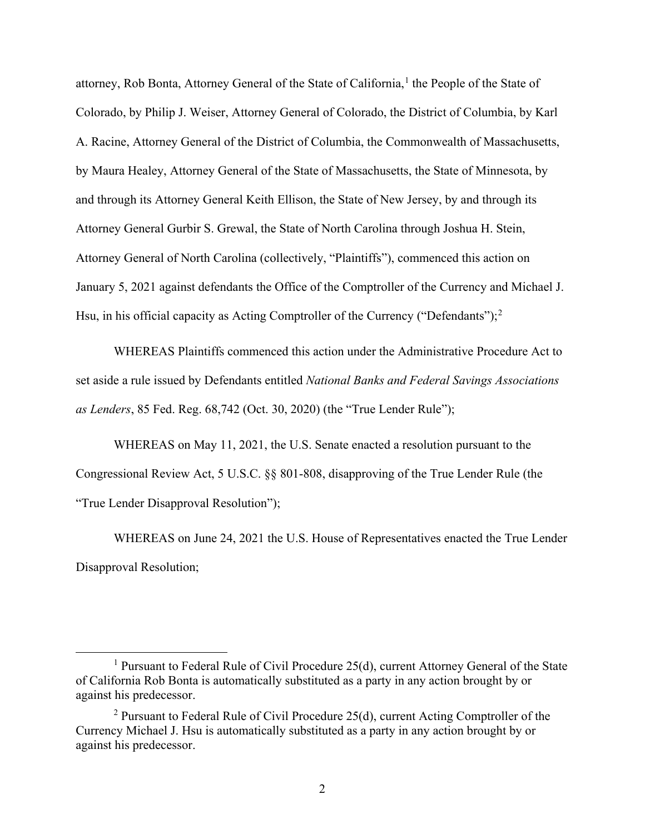attorney, Rob Bonta, Attorney General of the State of California,<sup>[1](#page-1-0)</sup> the People of the State of Colorado, by Philip J. Weiser, Attorney General of Colorado, the District of Columbia, by Karl A. Racine, Attorney General of the District of Columbia, the Commonwealth of Massachusetts, by Maura Healey, Attorney General of the State of Massachusetts, the State of Minnesota, by and through its Attorney General Keith Ellison, the State of New Jersey, by and through its Attorney General Gurbir S. Grewal, the State of North Carolina through Joshua H. Stein, Attorney General of North Carolina (collectively, "Plaintiffs"), commenced this action on January 5, 2021 against defendants the Office of the Comptroller of the Currency and Michael J. Hsu, in his official capacity as Acting Comptroller of the Currency ("Defendants");<sup>[2](#page-1-1)</sup>

WHEREAS Plaintiffs commenced this action under the Administrative Procedure Act to set aside a rule issued by Defendants entitled *National Banks and Federal Savings Associations as Lenders*, 85 Fed. Reg. 68,742 (Oct. 30, 2020) (the "True Lender Rule");

WHEREAS on May 11, 2021, the U.S. Senate enacted a resolution pursuant to the Congressional Review Act, 5 U.S.C. §§ 801-808, disapproving of the True Lender Rule (the "True Lender Disapproval Resolution");

WHEREAS on June 24, 2021 the U.S. House of Representatives enacted the True Lender Disapproval Resolution;

<span id="page-1-0"></span><sup>&</sup>lt;sup>1</sup> Pursuant to Federal Rule of Civil Procedure 25(d), current Attorney General of the State of California Rob Bonta is automatically substituted as a party in any action brought by or against his predecessor.

<span id="page-1-1"></span><sup>&</sup>lt;sup>2</sup> Pursuant to Federal Rule of Civil Procedure 25(d), current Acting Comptroller of the Currency Michael J. Hsu is automatically substituted as a party in any action brought by or against his predecessor.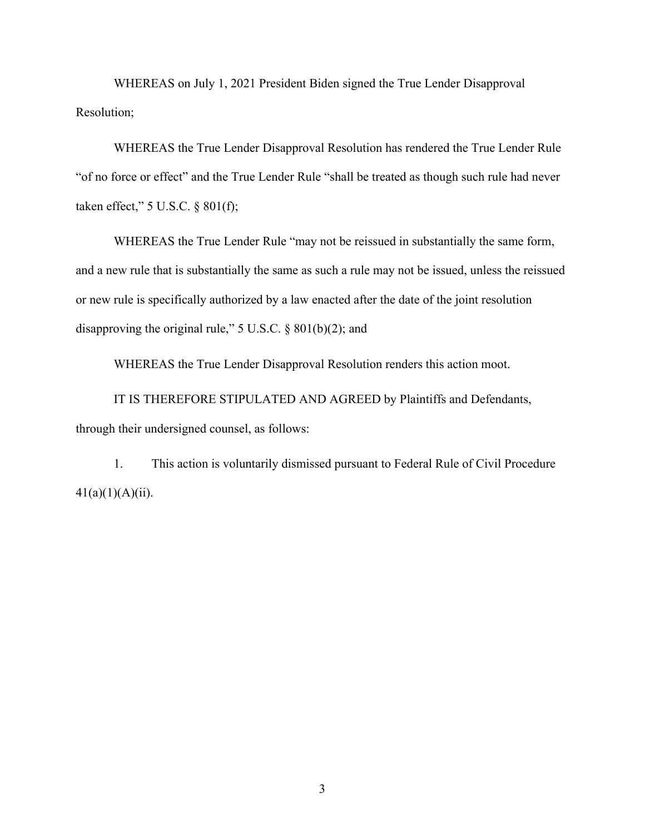WHEREAS on July 1, 2021 President Biden signed the True Lender Disapproval Resolution;

WHEREAS the True Lender Disapproval Resolution has rendered the True Lender Rule "of no force or effect" and the True Lender Rule "shall be treated as though such rule had never taken effect," 5 U.S.C. § 801(f);

WHEREAS the True Lender Rule "may not be reissued in substantially the same form, and a new rule that is substantially the same as such a rule may not be issued, unless the reissued or new rule is specifically authorized by a law enacted after the date of the joint resolution disapproving the original rule," 5 U.S.C. § 801(b)(2); and

WHEREAS the True Lender Disapproval Resolution renders this action moot.

IT IS THEREFORE STIPULATED AND AGREED by Plaintiffs and Defendants, through their undersigned counsel, as follows:

1. This action is voluntarily dismissed pursuant to Federal Rule of Civil Procedure  $41(a)(1)(A)(ii)$ .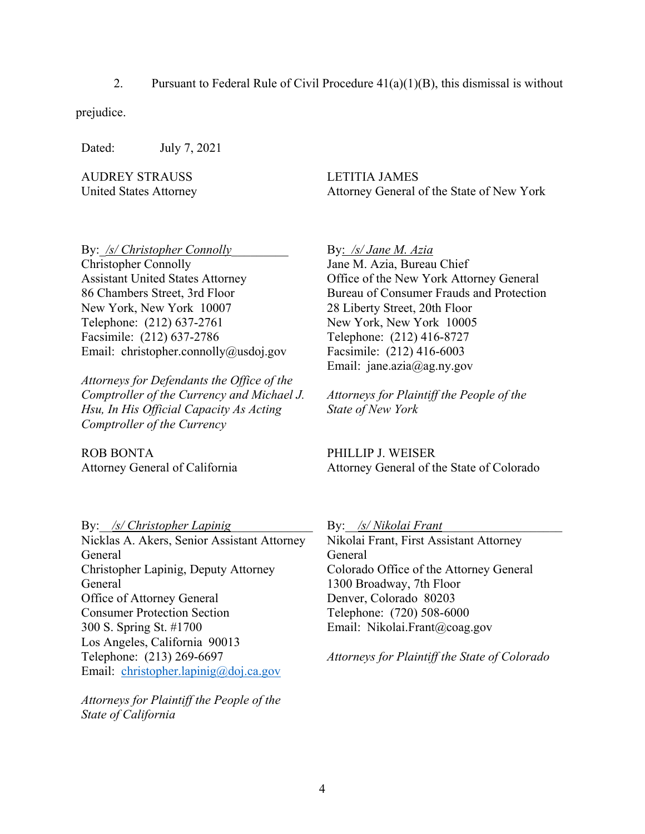2. Pursuant to Federal Rule of Civil Procedure  $41(a)(1)(B)$ , this dismissal is without

prejudice.

Dated: July 7, 2021

AUDREY STRAUSS United States Attorney LETITIA JAMES Attorney General of the State of New York

By: /s/ Christopher Connolly

Christopher Connolly Assistant United States Attorney 86 Chambers Street, 3rd Floor New York, New York 10007 Telephone: (212) 637-2761 Facsimile: (212) 637-2786 Email: christopher.connolly@usdoj.gov

*Attorneys for Defendants the Office of the Comptroller of the Currency and Michael J. Hsu, In His Official Capacity As Acting Comptroller of the Currency*

ROB BONTA Attorney General of California By: */s/ Jane M. Azia*  Jane M. Azia, Bureau Chief Office of the New York Attorney General Bureau of Consumer Frauds and Protection 28 Liberty Street, 20th Floor New York, New York 10005 Telephone: (212) 416-8727 Facsimile: (212) 416-6003 Email: jane.azia@ag.ny.gov

*Attorneys for Plaintiff the People of the State of New York*

PHILLIP J. WEISER Attorney General of the State of Colorado

By: /s/ Christopher Lapinig Nicklas A. Akers, Senior Assistant Attorney General Christopher Lapinig, Deputy Attorney General Office of Attorney General Consumer Protection Section 300 S. Spring St. #1700 Los Angeles, California 90013 Telephone: (213) 269-6697 Email: [christopher.lapinig@doj.ca.gov](mailto:christopher.lapinig@doj.ca.gov)

*Attorneys for Plaintiff the People of the State of California*

By: /s/ Nikolai Frant Nikolai Frant, First Assistant Attorney General Colorado Office of the Attorney General 1300 Broadway, 7th Floor Denver, Colorado 80203 Telephone: (720) 508-6000 Email: Nikolai.Frant@coag.gov

*Attorneys for Plaintiff the State of Colorado*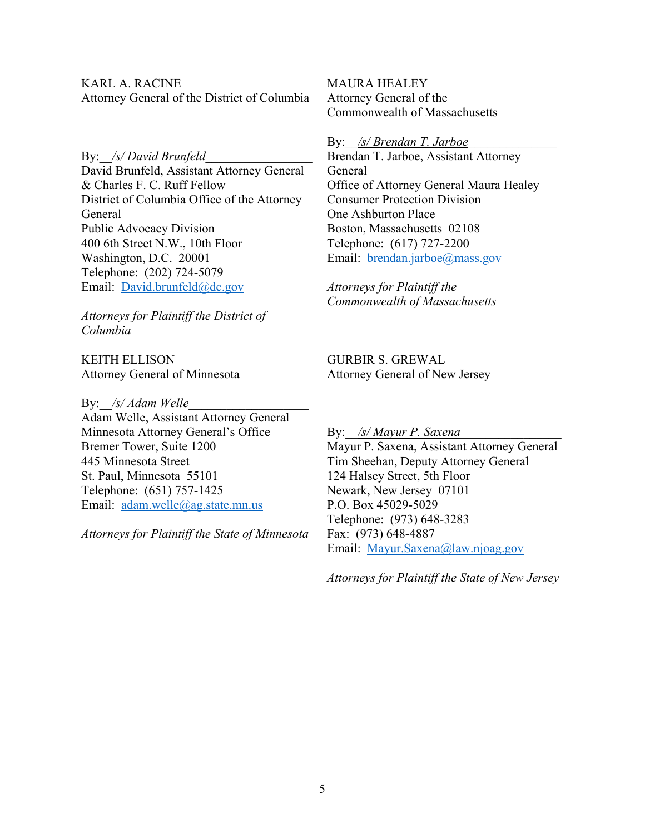KARL A. RACINE Attorney General of the District of Columbia

By: /s/ David Brunfeld

David Brunfeld, Assistant Attorney General & Charles F. C. Ruff Fellow District of Columbia Office of the Attorney General Public Advocacy Division 400 6th Street N.W., 10th Floor Washington, D.C. 20001 Telephone: (202) 724-5079 Email: [David.brunfeld@dc.gov](mailto:David.brunfeld@dc.gov)

*Attorneys for Plaintiff the District of Columbia*

KEITH ELLISON Attorney General of Minnesota

By: <u>/s/ Adam Welle</u> Adam Welle, Assistant Attorney General Minnesota Attorney General's Office Bremer Tower, Suite 1200 445 Minnesota Street St. Paul, Minnesota 55101 Telephone: (651) 757-1425 Email: [adam.welle@ag.state.mn.us](mailto:adam.welle@ag.state.mn.us)

*Attorneys for Plaintiff the State of Minnesota*

MAURA HEALEY Attorney General of the Commonwealth of Massachusetts

By: <u>/s/ Brendan T. Jarboe</u>

Brendan T. Jarboe, Assistant Attorney General Office of Attorney General Maura Healey Consumer Protection Division One Ashburton Place Boston, Massachusetts 02108 Telephone: (617) 727-2200 Email: [brendan.jarboe@mass.gov](mailto:brendan.jarboe@mass.gov)

*Attorneys for Plaintiff the Commonwealth of Massachusetts*

GURBIR S. GREWAL Attorney General of New Jersey

By: *\_/s/ Mayur P. Saxena* Mayur P. Saxena, Assistant Attorney General Tim Sheehan, Deputy Attorney General 124 Halsey Street, 5th Floor Newark, New Jersey 07101 P.O. Box 45029-5029 Telephone: (973) 648-3283 Fax: (973) 648-4887 Email: [Mayur.Saxena@law.njoag.gov](mailto:Mayur.Saxena@law.njoag.gov)

*Attorneys for Plaintiff the State of New Jersey*